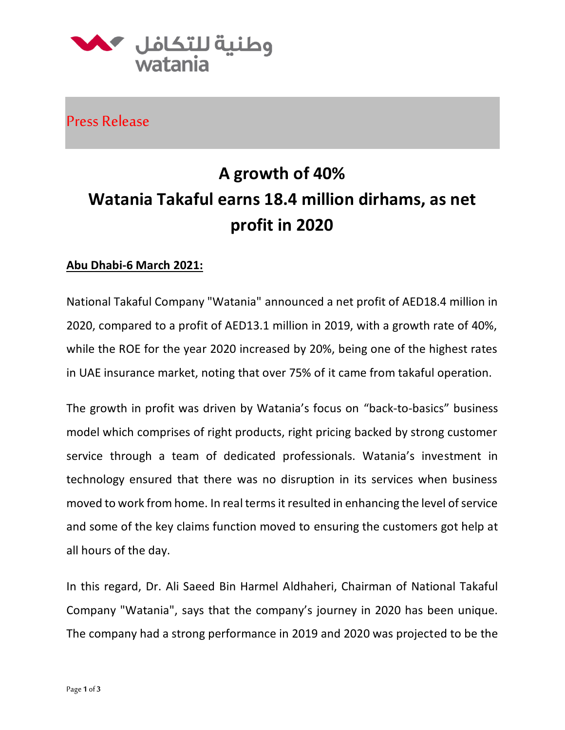

Press Release

## **A growth of 40% Watania Takaful earns 18.4 million dirhams, as net profit in 2020**

## **Abu Dhabi-6 March 2021:**

National Takaful Company "Watania" announced a net profit of AED18.4 million in 2020, compared to a profit of AED13.1 million in 2019, with a growth rate of 40%, while the ROE for the year 2020 increased by 20%, being one of the highest rates in UAE insurance market, noting that over 75% of it came from takaful operation.

The growth in profit was driven by Watania's focus on "back-to-basics" business model which comprises of right products, right pricing backed by strong customer service through a team of dedicated professionals. Watania's investment in technology ensured that there was no disruption in its services when business moved to work from home. In real terms it resulted in enhancing the level of service and some of the key claims function moved to ensuring the customers got help at all hours of the day.

In this regard, Dr. Ali Saeed Bin Harmel Aldhaheri, Chairman of National Takaful Company "Watania", says that the company's journey in 2020 has been unique. The company had a strong performance in 2019 and 2020 was projected to be the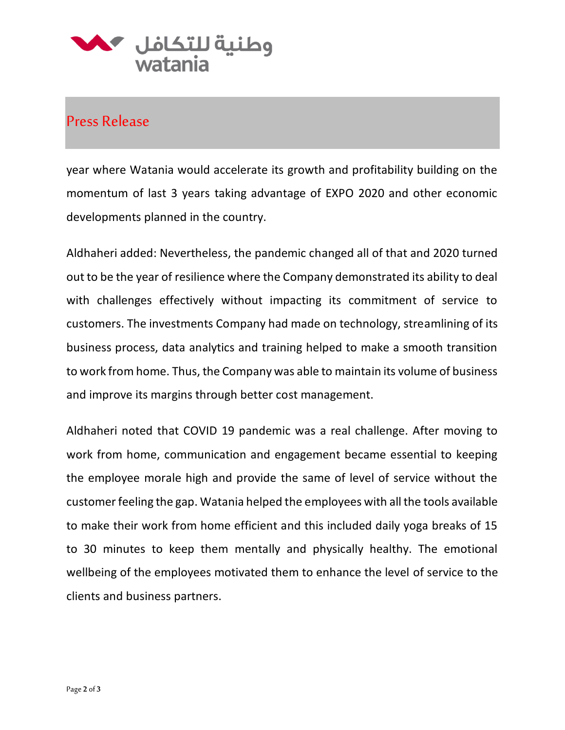

## Press Release

year where Watania would accelerate its growth and profitability building on the momentum of last 3 years taking advantage of EXPO 2020 and other economic developments planned in the country.

Aldhaheri added: Nevertheless, the pandemic changed all of that and 2020 turned out to be the year of resilience where the Company demonstrated its ability to deal with challenges effectively without impacting its commitment of service to customers. The investments Company had made on technology, streamlining of its business process, data analytics and training helped to make a smooth transition to work from home. Thus, the Company was able to maintain its volume of business and improve its margins through better cost management.

Aldhaheri noted that COVID 19 pandemic was a real challenge. After moving to work from home, communication and engagement became essential to keeping the employee morale high and provide the same of level of service without the customer feeling the gap. Watania helped the employees with all the tools available to make their work from home efficient and this included daily yoga breaks of 15 to 30 minutes to keep them mentally and physically healthy. The emotional wellbeing of the employees motivated them to enhance the level of service to the clients and business partners.